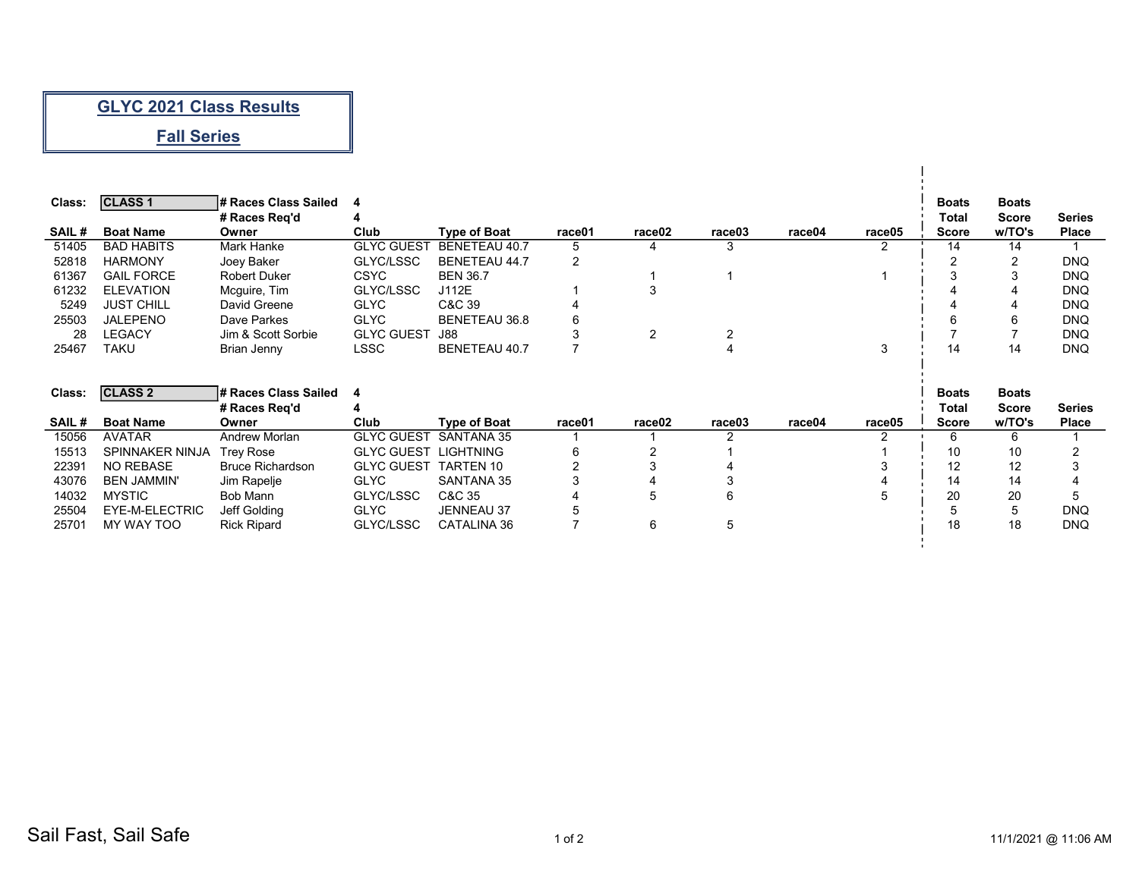## **GLYC 2021 Class Results**

## **Fall Series**

| Class:                   | <b>CLASS 1</b>    | # Races Class Sailed |                   |                      |        |        |        |        |        | <b>Boats</b> | <b>Boats</b>   |               |
|--------------------------|-------------------|----------------------|-------------------|----------------------|--------|--------|--------|--------|--------|--------------|----------------|---------------|
|                          |                   | # Races Reg'd        |                   |                      |        |        |        |        |        | Total        | <b>Score</b>   | <b>Series</b> |
| <b>SAIL#</b>             | <b>Boat Name</b>  | Owner                | Club              | <b>Type of Boat</b>  | race01 | race02 | race03 | race04 | race05 | <b>Score</b> | w/TO's         | <b>Place</b>  |
| 51405                    | <b>BAD HABITS</b> | Mark Hanke           | <b>GLYC GUEST</b> | BENETEAU 40.7        | 5      |        |        |        |        | 14           | 14             |               |
| 52818                    | <b>HARMONY</b>    | Joey Baker           | GLYC/LSSC         | <b>BENETEAU 44.7</b> | 2      |        |        |        |        | $\sim$       | $\overline{2}$ | <b>DNQ</b>    |
| 61367                    | <b>GAIL FORCE</b> | <b>Robert Duker</b>  | <b>CSYC</b>       | <b>BEN 36.7</b>      |        |        |        |        |        |              | 3              | <b>DNQ</b>    |
| 61232                    | <b>ELEVATION</b>  | Mcquire, Tim         | GLYC/LSSC         | J112E                |        |        |        |        |        |              | 4              | <b>DNQ</b>    |
| 5249                     | <b>JUST CHILL</b> | David Greene         | <b>GLYC</b>       | C&C 39               |        |        |        |        |        |              | 4              | <b>DNQ</b>    |
| 25503                    | JALEPENO          | Dave Parkes          | <b>GLYC</b>       | BENETEAU 36.8        | 6      |        |        |        |        | 6            | 6              | <b>DNQ</b>    |
| 28                       | <b>LEGACY</b>     | Jim & Scott Sorbie   | <b>GLYC GUEST</b> | J88                  |        | C.     |        |        |        |              |                | <b>DNQ</b>    |
| 25467                    | TAKU              | Brian Jenny          | LSSC              | <b>BENETEAU 40.7</b> |        |        |        |        | 3      | 14           | 14             | <b>DNQ</b>    |
|                          |                   |                      |                   |                      |        |        |        |        |        |              |                |               |
|                          |                   |                      |                   |                      |        |        |        |        |        |              |                |               |
| $\bigcap_{n=1}^{\infty}$ | $\sim$ $\sim$     |                      |                   |                      |        |        |        |        |        | $P = 1$      | $B = 11$       |               |

|                  | # Races Class Sailed    |                   |                     |                                           |                    |        |        |        | <b>Boats</b> | <b>Boats</b> |               |
|------------------|-------------------------|-------------------|---------------------|-------------------------------------------|--------------------|--------|--------|--------|--------------|--------------|---------------|
|                  | # Races Reg'd           |                   |                     |                                           |                    |        |        |        | Total        | <b>Score</b> | <b>Series</b> |
| <b>Boat Name</b> | Owner                   | Club              | <b>Type of Boat</b> | race01                                    | race <sub>02</sub> | race03 | race04 | race05 | <b>Score</b> | w/TO's       | <b>Place</b>  |
| AVATAR           | Andrew Morlan           |                   |                     |                                           |                    |        |        |        |              |              |               |
|                  | Trev Rose               | <b>GLYC GUEST</b> |                     |                                           |                    |        |        |        | 10           | 10           |               |
| <b>NO REBASE</b> | <b>Bruce Richardson</b> | <b>GLYC GUEST</b> | TARTEN 10           |                                           |                    |        |        |        | 12           | 12           |               |
| BEN JAMMIN'      | Jim Rapelje             | <b>GLYC</b>       | SANTANA 35          |                                           |                    |        |        |        | 14           | 14           |               |
| <b>MYSTIC</b>    | Bob Mann                | GLYC/LSSC         | C&C 35              |                                           |                    |        |        |        | 20           | 20           |               |
| EYE-M-ELECTRIC   | Jeff Golding            | <b>GLYC</b>       | <b>JENNEAU 37</b>   |                                           |                    |        |        |        |              | 5            | <b>DNQ</b>    |
| MY WAY TOO       | <b>Rick Ripard</b>      | GLYC/LSSC         | CATALINA 36         |                                           |                    |        |        |        | 18           | 18           | DNQ           |
|                  | <b>CLASS 2</b>          | SPINNAKER NINJA   |                     | <b>GLYC GUEST SANTANA 35</b><br>LIGHTNING |                    |        |        |        |              |              |               |

 $\mathbf I$